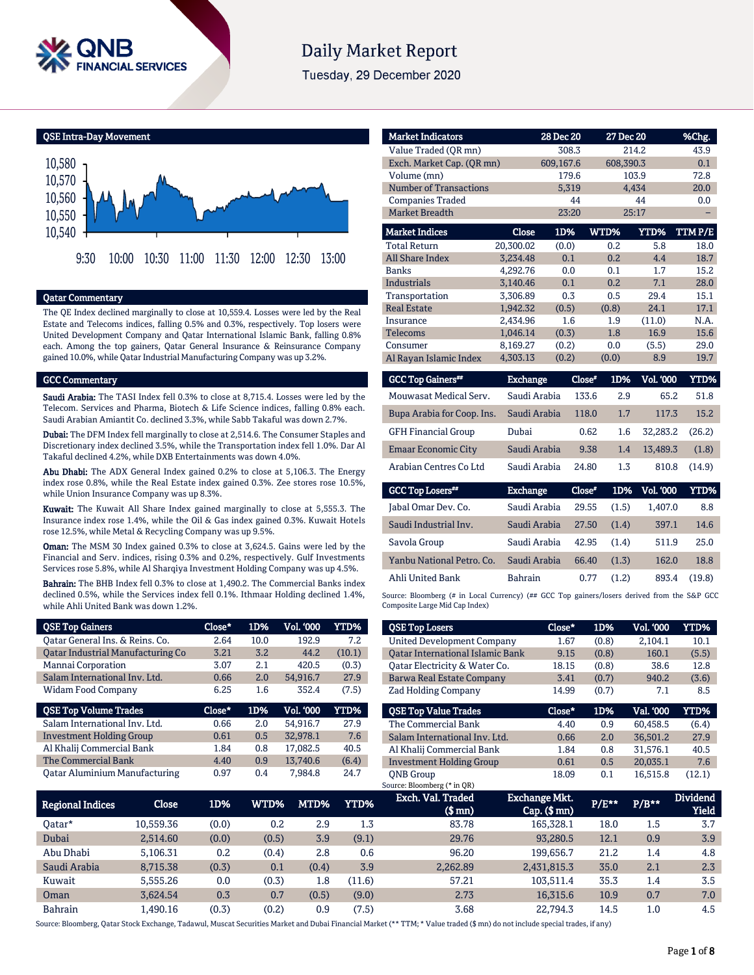

# **Daily Market Report**

Tuesday, 29 December 2020

QSE Intra-Day Movement



#### Qatar Commentary

The QE Index declined marginally to close at 10,559.4. Losses were led by the Real Estate and Telecoms indices, falling 0.5% and 0.3%, respectively. Top losers were United Development Company and Qatar International Islamic Bank, falling 0.8% each. Among the top gainers, Qatar General Insurance & Reinsurance Company gained 10.0%, while Qatar Industrial Manufacturing Company was up 3.2%.

#### GCC Commentary

Saudi Arabia: The TASI Index fell 0.3% to close at 8,715.4. Losses were led by the Telecom. Services and Pharma, Biotech & Life Science indices, falling 0.8% each. Saudi Arabian Amiantit Co. declined 3.3%, while Sabb Takaful was down 2.7%.

Dubai: The DFM Index fell marginally to close at 2,514.6. The Consumer Staples and Discretionary index declined 3.5%, while the Transportation index fell 1.0%. Dar Al Takaful declined 4.2%, while DXB Entertainments was down 4.0%.

Abu Dhabi: The ADX General Index gained 0.2% to close at 5,106.3. The Energy index rose 0.8%, while the Real Estate index gained 0.3%. Zee stores rose 10.5%, while Union Insurance Company was up 8.3%.

Kuwait: The Kuwait All Share Index gained marginally to close at 5,555.3. The Insurance index rose 1.4%, while the Oil & Gas index gained 0.3%. Kuwait Hotels rose 12.5%, while Metal & Recycling Company was up 9.5%.

Oman: The MSM 30 Index gained 0.3% to close at 3,624.5. Gains were led by the Financial and Serv. indices, rising 0.3% and 0.2%, respectively. Gulf Investments Services rose 5.8%, while Al Sharqiya Investment Holding Company was up 4.5%.

Bahrain: The BHB Index fell 0.3% to close at 1,490.2. The Commercial Banks index declined 0.5%, while the Services index fell 0.1%. Ithmaar Holding declined 1.4%, while Ahli United Bank was down 1.2%.

| <b>QSE Top Gainers</b>            | Close* | 1D%  | <b>Vol. '000</b> | YTD%        |
|-----------------------------------|--------|------|------------------|-------------|
| Oatar General Ins. & Reins. Co.   | 2.64   | 10.0 | 192.9            | 7.2         |
| Oatar Industrial Manufacturing Co | 3.21   | 3.2  | 44.2             | (10.1)      |
| Mannai Corporation                | 3.07   | 2.1  | 420.5            | (0.3)       |
| Salam International Inv. Ltd.     | 0.66   | 2.0  | 54,916.7         | 27.9        |
| <b>Widam Food Company</b>         | 6.25   | 1.6  | 352.4            | (7.5)       |
|                                   |        |      |                  |             |
| <b>QSE Top Volume Trades</b>      | Close* | 1D%  | <b>Vol. '000</b> | <b>YTD%</b> |
| Salam International Inv. Ltd.     | 0.66   | 2.0  | 54.916.7         | 27.9        |
| <b>Investment Holding Group</b>   | 0.61   | 0.5  | 32,978.1         | 7.6         |
| Al Khalij Commercial Bank         | 1.84   | 0.8  | 17.082.5         | 40.5        |
| The Commercial Bank               | 4.40   | 0.9  | 13,740.6         | (6.4)       |

| <b>Market Indicators</b>      |           | 28 Dec 20 |       | 27 Dec 20   | %Chg.         |
|-------------------------------|-----------|-----------|-------|-------------|---------------|
| Value Traded (OR mn)          |           | 308.3     |       | 214.2       | 43.9          |
| Exch. Market Cap. (QR mn)     |           | 609,167.6 |       | 608,390.3   | 0.1           |
| Volume (mn)                   |           | 179.6     |       | 103.9       | 72.8          |
| <b>Number of Transactions</b> |           | 5,319     |       | 4,434       | 20.0          |
| <b>Companies Traded</b>       |           | 44        |       | 44          | 0.0           |
| <b>Market Breadth</b>         |           | 23:20     |       | 25:17       |               |
| <b>Market Indices</b>         | Close     | 1D%       | WTD%  | <b>YTD%</b> | <b>TTMP/E</b> |
| <b>Total Return</b>           | 20,300.02 | (0.0)     | 0.2   | 5.8         | 18.0          |
| <b>All Share Index</b>        | 3.234.48  | 0.1       | 0.2   | 4.4         | 18.7          |
| <b>Banks</b>                  | 4,292.76  | 0.0       | 0.1   | 1.7         | 15.2          |
| <b>Industrials</b>            | 3.140.46  | 0.1       | 0.2   | 7.1         | 28.0          |
| Transportation                | 3.306.89  | 0.3       | 0.5   | 29.4        | 15.1          |
| <b>Real Estate</b>            | 1.942.32  | (0.5)     | (0.8) | 24.1        | 17.1          |
| Insurance                     | 2.434.96  | 1.6       | 1.9   | (11.0)      | N.A.          |
| <b>Telecoms</b>               | 1,046.14  | (0.3)     | 1.8   | 16.9        | 15.6          |
| Consumer                      | 8,169.27  | (0.2)     | 0.0   | (5.5)       | 29.0          |
| Al Rayan Islamic Index        | 4,303.13  | (0.2)     | (0.0) | 8.9         | 19.7          |

| Exchange     | Close" | 1D% | <b>Vol. '000</b> | YTD%   |
|--------------|--------|-----|------------------|--------|
| Saudi Arabia | 133.6  | 2.9 | 65.2             | 51.8   |
| Saudi Arabia | 118.0  | 1.7 | 117.3            | 15.2   |
| Dubai        | 0.62   | 1.6 | 32.283.2         | (26.2) |
| Saudi Arabia | 9.38   | 1.4 | 13.489.3         | (1.8)  |
| Saudi Arabia | 24.80  | 1.3 | 810.8            | (14.9) |
|              |        |     |                  |        |

| <b>GCC Top Losers**</b>   | <b>Exchange</b> | Close* | 1D%   | <b>Vol. '000</b> | YTD%   |
|---------------------------|-----------------|--------|-------|------------------|--------|
| Jabal Omar Dev. Co.       | Saudi Arabia    | 29.55  | (1.5) | 1,407.0          | 8.8    |
| Saudi Industrial Inv.     | Saudi Arabia    | 27.50  | (1.4) | 397.1            | 14.6   |
| Savola Group              | Saudi Arabia    | 42.95  | (1.4) | 511.9            | 25.0   |
| Yanbu National Petro. Co. | Saudi Arabia    | 66.40  | (1.3) | 162.0            | 18.8   |
| Ahli United Bank          | <b>Bahrain</b>  | 0.77   | (1.2) | 893.4            | (19.8) |

Source: Bloomberg (# in Local Currency) (## GCC Top gainers/losers derived from the S&P GCC Composite Large Mid Cap Index)

| <b>QSE Top Losers</b>                   | Close* | 1D%   | <b>Vol. '000</b> | <b>YTD%</b> |
|-----------------------------------------|--------|-------|------------------|-------------|
| <b>United Development Company</b>       | 1.67   | (0.8) | 2.104.1          | 10.1        |
| <b>Oatar International Islamic Bank</b> | 9.15   | (0.8) | 160.1            | (5.5)       |
| Oatar Electricity & Water Co.           | 18.15  | (0.8) | 38.6             | 12.8        |
| Barwa Real Estate Company               | 3.41   | (0.7) | 940.2            | (3.6)       |
| <b>Zad Holding Company</b>              | 14.99  | (0.7) | 7.1              | 8.5         |
| <b>OSE Top Value Trades</b>             | Close* | 1D%   | Val. '000        | <b>YTD%</b> |
| The Commercial Bank                     | 4.40   | 0.9   | 60.458.5         | (6.4)       |
| Salam International Inv. Ltd.           | 0.66   | 2.0   |                  | 27.9        |
|                                         |        |       | 36,501.2         |             |
| Al Khalij Commercial Bank               | 1.84   | 0.8   | 31.576.1         | 40.5        |
| <b>Investment Holding Group</b>         | 0.61   | 0.5   | 20.035.1         | 7.6         |

| <b>Regional Indices</b> | <b>Close</b> | 1D%   | WTD%  | MTD%  | <b>YTD%</b> | Exch. Val. Traded<br>(\$ mn) | <b>Exchange Mkt.</b><br>$Cap.$ $(\$$ mn $)$ | $P/E***$ | $P/B**$ | <b>Dividend</b><br>Yield |
|-------------------------|--------------|-------|-------|-------|-------------|------------------------------|---------------------------------------------|----------|---------|--------------------------|
| 0atar*                  | 10.559.36    | (0.0) | 0.2   | 2.9   | 1.3         | 83.78                        | 165,328.1                                   | 18.0     | 1.5     | 3.7                      |
| Dubai                   | 2.514.60     | (0.0) | (0.5) | 3.9   | (9.1)       | 29.76                        | 93.280.5                                    | 12.1     | 0.9     | 3.9                      |
| Abu Dhabi               | 5.106.31     | 0.2   | (0.4) | 2.8   | 0.6         | 96.20                        | 199.656.7                                   | 21.2     | 1.4     | 4.8                      |
| Saudi Arabia            | 8.715.38     | (0.3) | 0.1   | (0.4) | 3.9         | 2.262.89                     | 2,431,815.3                                 | 35.0     | 2.1     | 2.3                      |
| Kuwait                  | 5.555.26     | 0.0   | (0.3) | 1.8   | (11.6)      | 57.21                        | 103.511.4                                   | 35.3     | 1.4     | 3.5                      |
| Oman                    | 3.624.54     | 0.3   | 0.7   | (0.5) | (9.0)       | 2.73                         | 16.315.6                                    | 10.9     | 0.7     | 7.0                      |
| <b>Bahrain</b>          | l.490.16     | (0.3) | (0.2) | 0.9   | (7.5)       | 3.68                         | 22.794.3                                    | 14.5     | $1.0\,$ | 4.5                      |

Source: Bloomberg, Qatar Stock Exchange, Tadawul, Muscat Securities Market and Dubai Financial Market (\*\* TTM; \* Value traded (\$ mn) do not include special trades, if any)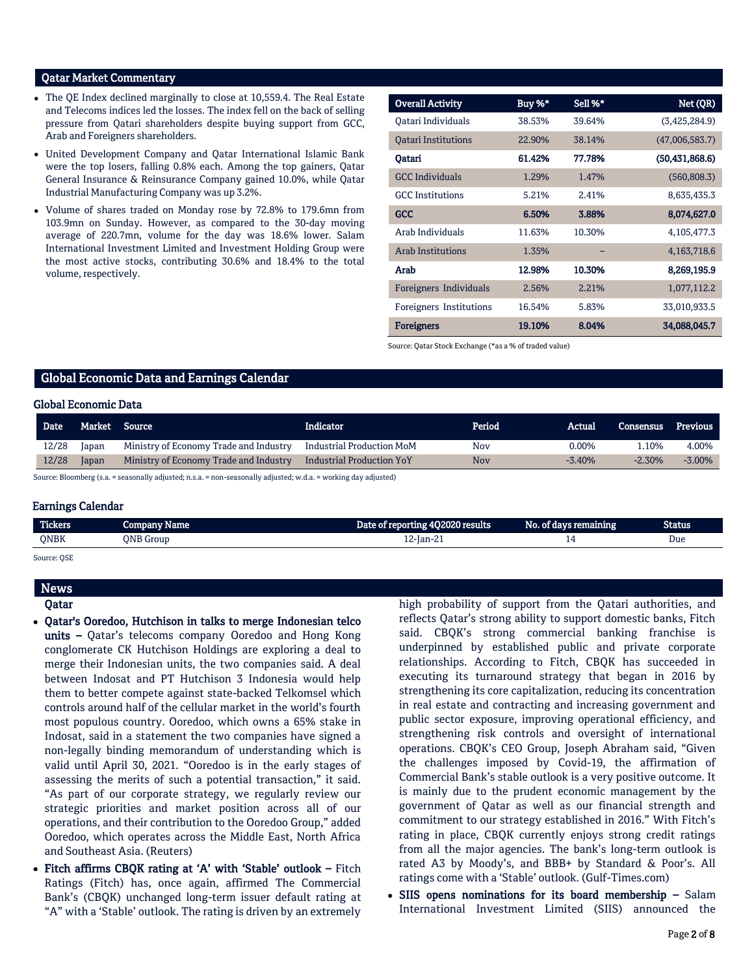#### Qatar Market Commentary

- The QE Index declined marginally to close at 10,559.4. The Real Estate and Telecoms indices led the losses. The index fell on the back of selling pressure from Qatari shareholders despite buying support from GCC, Arab and Foreigners shareholders.
- United Development Company and Qatar International Islamic Bank were the top losers, falling 0.8% each. Among the top gainers, Qatar General Insurance & Reinsurance Company gained 10.0%, while Qatar Industrial Manufacturing Company was up 3.2%.
- Volume of shares traded on Monday rose by 72.8% to 179.6mn from 103.9mn on Sunday. However, as compared to the 30-day moving average of 220.7mn, volume for the day was 18.6% lower. Salam International Investment Limited and Investment Holding Group were the most active stocks, contributing 30.6% and 18.4% to the total volume, respectively.

| <b>Overall Activity</b>    | Buy %* | Sell %* | Net (QR)         |
|----------------------------|--------|---------|------------------|
| Oatari Individuals         | 38.53% | 39.64%  | (3,425,284.9)    |
| <b>Oatari Institutions</b> | 22.90% | 38.14%  | (47,006,583.7)   |
| Oatari                     | 61.42% | 77.78%  | (50, 431, 868.6) |
| <b>GCC Individuals</b>     | 1.29%  | 1.47%   | (560, 808.3)     |
| <b>GCC</b> Institutions    | 5.21%  | 2.41%   | 8,635,435.3      |
| <b>GCC</b>                 | 6.50%  | 3.88%   | 8,074,627.0      |
| Arab Individuals           | 11.63% | 10.30%  | 4,105,477.3      |
| <b>Arab Institutions</b>   | 1.35%  |         | 4,163,718.6      |
| Arab                       | 12.98% | 10.30%  | 8,269,195.9      |
| Foreigners Individuals     | 2.56%  | 2.21%   | 1,077,112.2      |
| Foreigners Institutions    | 16.54% | 5.83%   | 33,010,933.5     |
| <b>Foreigners</b>          | 19.10% | 8.04%   | 34,088,045.7     |

Source: Qatar Stock Exchange (\*as a % of traded value)

### Global Economic Data and Earnings Calendar

#### Global Economic Data

| Date  |       | Market Source                          | Indicator                 | Period | Actual   | Consensus | Previous  |
|-------|-------|----------------------------------------|---------------------------|--------|----------|-----------|-----------|
| 12/28 | Japan | Ministry of Economy Trade and Industry | Industrial Production MoM | Nov    | $0.00\%$ | .10%      | 4.00%     |
| 12/28 | Japan | Ministry of Economy Trade and Industry | Industrial Production YoY | Nov    | $-3.40%$ | $-2.30\%$ | $-3.00\%$ |

Source: Bloomberg (s.a. = seasonally adjusted; n.s.a. = non-seasonally adjusted; w.d.a. = working day adjusted)

#### Earnings Calendar

| <b>Tickers</b> | Vame<br><b>COMPANY</b> | Date of reporting 4Q2020 results | No. of days remaining | Status |
|----------------|------------------------|----------------------------------|-----------------------|--------|
| QNBK           | <b>ONB</b> Group       | 12-Jan-21                        |                       | Due    |
|                |                        |                                  |                       |        |

Source: QSE

## News

### Qatar

- Qatar's Ooredoo, Hutchison in talks to merge Indonesian telco units - Qatar's telecoms company Ooredoo and Hong Kong conglomerate CK Hutchison Holdings are exploring a deal to merge their Indonesian units, the two companies said. A deal between Indosat and PT Hutchison 3 Indonesia would help them to better compete against state-backed Telkomsel which controls around half of the cellular market in the world's fourth most populous country. Ooredoo, which owns a 65% stake in Indosat, said in a statement the two companies have signed a non-legally binding memorandum of understanding which is valid until April 30, 2021. "Ooredoo is in the early stages of assessing the merits of such a potential transaction," it said. "As part of our corporate strategy, we regularly review our strategic priorities and market position across all of our operations, and their contribution to the Ooredoo Group," added Ooredoo, which operates across the Middle East, North Africa and Southeast Asia. (Reuters)
- Fitch affirms CBQK rating at 'A' with 'Stable' outlook Fitch Ratings (Fitch) has, once again, affirmed The Commercial Bank's (CBQK) unchanged long-term issuer default rating at "A" with a 'Stable' outlook. The rating is driven by an extremely

high probability of support from the Qatari authorities, and reflects Qatar's strong ability to support domestic banks, Fitch said. CBQK's strong commercial banking franchise is underpinned by established public and private corporate relationships. According to Fitch, CBQK has succeeded in executing its turnaround strategy that began in 2016 by strengthening its core capitalization, reducing its concentration in real estate and contracting and increasing government and public sector exposure, improving operational efficiency, and strengthening risk controls and oversight of international operations. CBQK's CEO Group, Joseph Abraham said, "Given the challenges imposed by Covid-19, the affirmation of Commercial Bank's stable outlook is a very positive outcome. It is mainly due to the prudent economic management by the government of Qatar as well as our financial strength and commitment to our strategy established in 2016." With Fitch's rating in place, CBQK currently enjoys strong credit ratings from all the major agencies. The bank's long-term outlook is rated A3 by Moody's, and BBB+ by Standard & Poor's. All ratings come with a 'Stable' outlook. (Gulf-Times.com)

• SIIS opens nominations for its board membership - Salam International Investment Limited (SIIS) announced the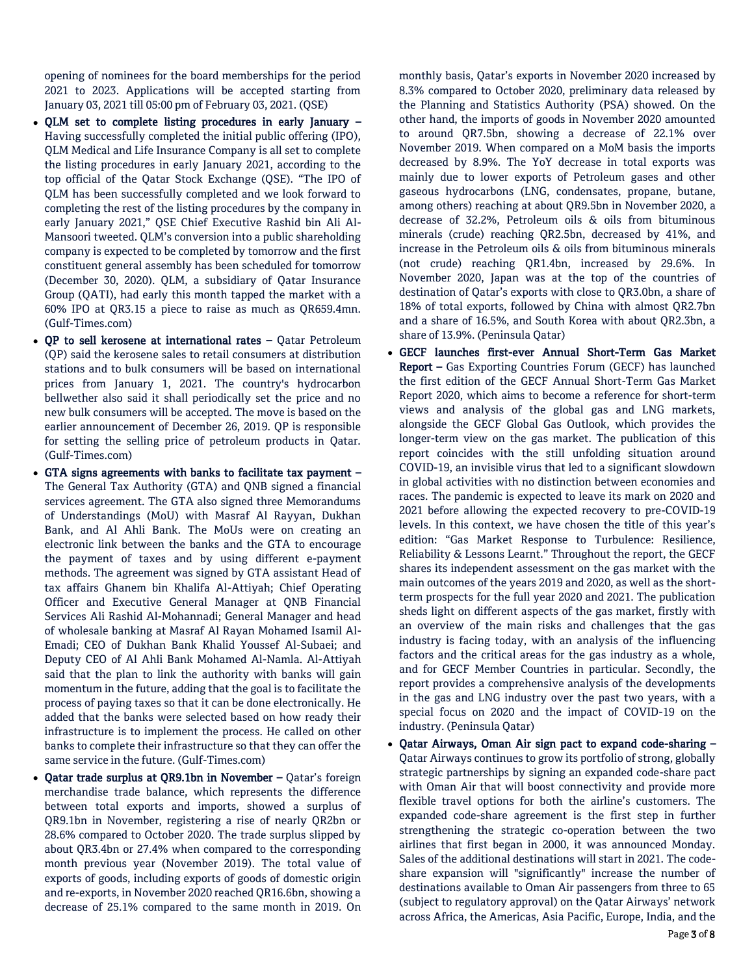opening of nominees for the board memberships for the period 2021 to 2023. Applications will be accepted starting from January 03, 2021 till 05:00 pm of February 03, 2021. (QSE)

- QLM set to complete listing procedures in early January Having successfully completed the initial public offering (IPO), QLM Medical and Life Insurance Company is all set to complete the listing procedures in early January 2021, according to the top official of the Qatar Stock Exchange (QSE). "The IPO of QLM has been successfully completed and we look forward to completing the rest of the listing procedures by the company in early January 2021," QSE Chief Executive Rashid bin Ali Al-Mansoori tweeted. QLM's conversion into a public shareholding company is expected to be completed by tomorrow and the first constituent general assembly has been scheduled for tomorrow (December 30, 2020). QLM, a subsidiary of Qatar Insurance Group (QATI), had early this month tapped the market with a 60% IPO at QR3.15 a piece to raise as much as QR659.4mn. (Gulf-Times.com)
- QP to sell kerosene at international rates Qatar Petroleum (QP) said the kerosene sales to retail consumers at distribution stations and to bulk consumers will be based on international prices from January 1, 2021. The country's hydrocarbon bellwether also said it shall periodically set the price and no new bulk consumers will be accepted. The move is based on the earlier announcement of December 26, 2019. QP is responsible for setting the selling price of petroleum products in Qatar. (Gulf-Times.com)
- GTA signs agreements with banks to facilitate tax payment The General Tax Authority (GTA) and QNB signed a financial services agreement. The GTA also signed three Memorandums of Understandings (MoU) with Masraf Al Rayyan, Dukhan Bank, and Al Ahli Bank. The MoUs were on creating an electronic link between the banks and the GTA to encourage the payment of taxes and by using different e-payment methods. The agreement was signed by GTA assistant Head of tax affairs Ghanem bin Khalifa Al-Attiyah; Chief Operating Officer and Executive General Manager at QNB Financial Services Ali Rashid Al-Mohannadi; General Manager and head of wholesale banking at Masraf Al Rayan Mohamed Isamil Al-Emadi; CEO of Dukhan Bank Khalid Youssef Al-Subaei; and Deputy CEO of Al Ahli Bank Mohamed Al-Namla. Al-Attiyah said that the plan to link the authority with banks will gain momentum in the future, adding that the goal is to facilitate the process of paying taxes so that it can be done electronically. He added that the banks were selected based on how ready their infrastructure is to implement the process. He called on other banks to complete their infrastructure so that they can offer the same service in the future. (Gulf-Times.com)
- Qatar trade surplus at QR9.1bn in November Qatar's foreign merchandise trade balance, which represents the difference between total exports and imports, showed a surplus of QR9.1bn in November, registering a rise of nearly QR2bn or 28.6% compared to October 2020. The trade surplus slipped by about QR3.4bn or 27.4% when compared to the corresponding month previous year (November 2019). The total value of exports of goods, including exports of goods of domestic origin and re-exports, in November 2020 reached QR16.6bn, showing a decrease of 25.1% compared to the same month in 2019. On

monthly basis, Qatar's exports in November 2020 increased by 8.3% compared to October 2020, preliminary data released by the Planning and Statistics Authority (PSA) showed. On the other hand, the imports of goods in November 2020 amounted to around QR7.5bn, showing a decrease of 22.1% over November 2019. When compared on a MoM basis the imports decreased by 8.9%. The YoY decrease in total exports was mainly due to lower exports of Petroleum gases and other gaseous hydrocarbons (LNG, condensates, propane, butane, among others) reaching at about QR9.5bn in November 2020, a decrease of 32.2%, Petroleum oils & oils from bituminous minerals (crude) reaching QR2.5bn, decreased by 41%, and increase in the Petroleum oils & oils from bituminous minerals (not crude) reaching QR1.4bn, increased by 29.6%. In November 2020, Japan was at the top of the countries of destination of Qatar's exports with close to QR3.0bn, a share of 18% of total exports, followed by China with almost QR2.7bn and a share of 16.5%, and South Korea with about QR2.3bn, a share of 13.9%. (Peninsula Qatar)

- GECF launches first-ever Annual Short-Term Gas Market Report – Gas Exporting Countries Forum (GECF) has launched the first edition of the GECF Annual Short-Term Gas Market Report 2020, which aims to become a reference for short-term views and analysis of the global gas and LNG markets, alongside the GECF Global Gas Outlook, which provides the longer-term view on the gas market. The publication of this report coincides with the still unfolding situation around COVID-19, an invisible virus that led to a significant slowdown in global activities with no distinction between economies and races. The pandemic is expected to leave its mark on 2020 and 2021 before allowing the expected recovery to pre-COVID-19 levels. In this context, we have chosen the title of this year's edition: "Gas Market Response to Turbulence: Resilience, Reliability & Lessons Learnt." Throughout the report, the GECF shares its independent assessment on the gas market with the main outcomes of the years 2019 and 2020, as well as the shortterm prospects for the full year 2020 and 2021. The publication sheds light on different aspects of the gas market, firstly with an overview of the main risks and challenges that the gas industry is facing today, with an analysis of the influencing factors and the critical areas for the gas industry as a whole, and for GECF Member Countries in particular. Secondly, the report provides a comprehensive analysis of the developments in the gas and LNG industry over the past two years, with a special focus on 2020 and the impact of COVID-19 on the industry. (Peninsula Qatar)
- Qatar Airways, Oman Air sign pact to expand code-sharing Qatar Airways continues to grow its portfolio of strong, globally strategic partnerships by signing an expanded code-share pact with Oman Air that will boost connectivity and provide more flexible travel options for both the airline's customers. The expanded code-share agreement is the first step in further strengthening the strategic co-operation between the two airlines that first began in 2000, it was announced Monday. Sales of the additional destinations will start in 2021. The codeshare expansion will "significantly" increase the number of destinations available to Oman Air passengers from three to 65 (subject to regulatory approval) on the Qatar Airways' network across Africa, the Americas, Asia Pacific, Europe, India, and the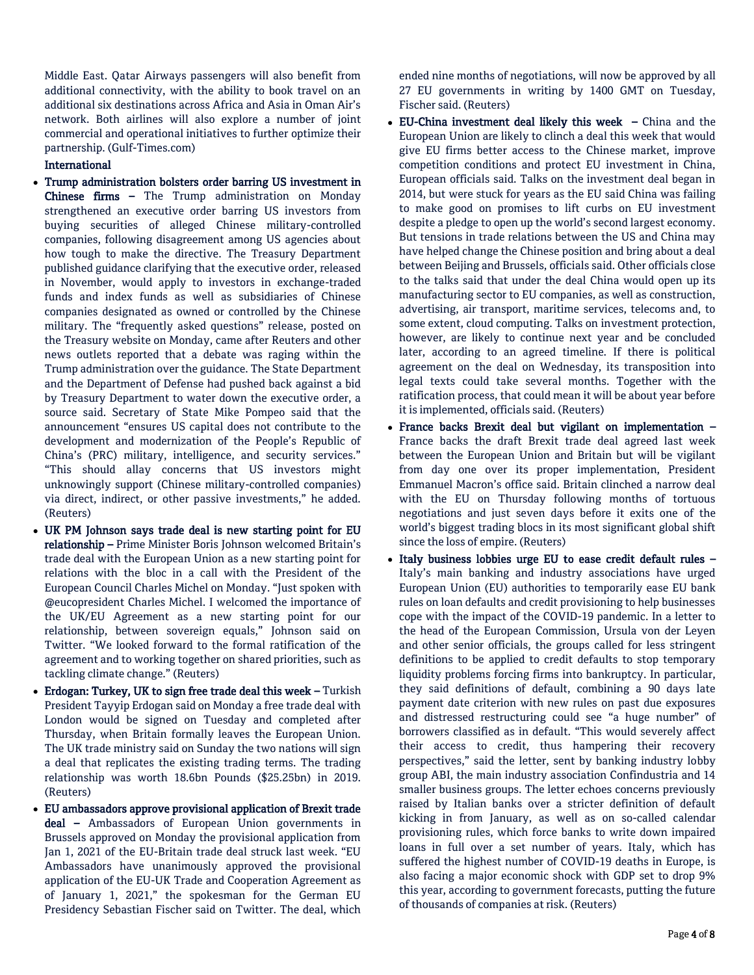Middle East. Qatar Airways passengers will also benefit from additional connectivity, with the ability to book travel on an additional six destinations across Africa and Asia in Oman Air's network. Both airlines will also explore a number of joint commercial and operational initiatives to further optimize their partnership. (Gulf-Times.com)

#### International

- Trump administration bolsters order barring US investment in Chinese firms – The Trump administration on Monday strengthened an executive order barring US investors from buying securities of alleged Chinese military-controlled companies, following disagreement among US agencies about how tough to make the directive. The Treasury Department published guidance clarifying that the executive order, released in November, would apply to investors in exchange-traded funds and index funds as well as subsidiaries of Chinese companies designated as owned or controlled by the Chinese military. The "frequently asked questions" release, posted on the Treasury website on Monday, came after Reuters and other news outlets reported that a debate was raging within the Trump administration over the guidance. The State Department and the Department of Defense had pushed back against a bid by Treasury Department to water down the executive order, a source said. Secretary of State Mike Pompeo said that the announcement "ensures US capital does not contribute to the development and modernization of the People's Republic of China's (PRC) military, intelligence, and security services." "This should allay concerns that US investors might unknowingly support (Chinese military-controlled companies) via direct, indirect, or other passive investments," he added. (Reuters)
- UK PM Johnson says trade deal is new starting point for EU relationship – Prime Minister Boris Johnson welcomed Britain's trade deal with the European Union as a new starting point for relations with the bloc in a call with the President of the European Council Charles Michel on Monday. "Just spoken with @eucopresident Charles Michel. I welcomed the importance of the UK/EU Agreement as a new starting point for our relationship, between sovereign equals," Johnson said on Twitter. "We looked forward to the formal ratification of the agreement and to working together on shared priorities, such as tackling climate change." (Reuters)
- Erdogan: Turkey, UK to sign free trade deal this week Turkish President Tayyip Erdogan said on Monday a free trade deal with London would be signed on Tuesday and completed after Thursday, when Britain formally leaves the European Union. The UK trade ministry said on Sunday the two nations will sign a deal that replicates the existing trading terms. The trading relationship was worth 18.6bn Pounds (\$25.25bn) in 2019. (Reuters)
- EU ambassadors approve provisional application of Brexit trade deal – Ambassadors of European Union governments in Brussels approved on Monday the provisional application from Jan 1, 2021 of the EU-Britain trade deal struck last week. "EU Ambassadors have unanimously approved the provisional application of the EU-UK Trade and Cooperation Agreement as of January 1, 2021," the spokesman for the German EU Presidency Sebastian Fischer said on Twitter. The deal, which

ended nine months of negotiations, will now be approved by all 27 EU governments in writing by 1400 GMT on Tuesday, Fischer said. (Reuters)

- EU-China investment deal likely this week China and the European Union are likely to clinch a deal this week that would give EU firms better access to the Chinese market, improve competition conditions and protect EU investment in China, European officials said. Talks on the investment deal began in 2014, but were stuck for years as the EU said China was failing to make good on promises to lift curbs on EU investment despite a pledge to open up the world's second largest economy. But tensions in trade relations between the US and China may have helped change the Chinese position and bring about a deal between Beijing and Brussels, officials said. Other officials close to the talks said that under the deal China would open up its manufacturing sector to EU companies, as well as construction, advertising, air transport, maritime services, telecoms and, to some extent, cloud computing. Talks on investment protection, however, are likely to continue next year and be concluded later, according to an agreed timeline. If there is political agreement on the deal on Wednesday, its transposition into legal texts could take several months. Together with the ratification process, that could mean it will be about year before it is implemented, officials said. (Reuters)
- France backs Brexit deal but vigilant on implementation France backs the draft Brexit trade deal agreed last week between the European Union and Britain but will be vigilant from day one over its proper implementation, President Emmanuel Macron's office said. Britain clinched a narrow deal with the EU on Thursday following months of tortuous negotiations and just seven days before it exits one of the world's biggest trading blocs in its most significant global shift since the loss of empire. (Reuters)
- Italy business lobbies urge EU to ease credit default rules Italy's main banking and industry associations have urged European Union (EU) authorities to temporarily ease EU bank rules on loan defaults and credit provisioning to help businesses cope with the impact of the COVID-19 pandemic. In a letter to the head of the European Commission, Ursula von der Leyen and other senior officials, the groups called for less stringent definitions to be applied to credit defaults to stop temporary liquidity problems forcing firms into bankruptcy. In particular, they said definitions of default, combining a 90 days late payment date criterion with new rules on past due exposures and distressed restructuring could see "a huge number" of borrowers classified as in default. "This would severely affect their access to credit, thus hampering their recovery perspectives," said the letter, sent by banking industry lobby group ABI, the main industry association Confindustria and 14 smaller business groups. The letter echoes concerns previously raised by Italian banks over a stricter definition of default kicking in from January, as well as on so-called calendar provisioning rules, which force banks to write down impaired loans in full over a set number of years. Italy, which has suffered the highest number of COVID-19 deaths in Europe, is also facing a major economic shock with GDP set to drop 9% this year, according to government forecasts, putting the future of thousands of companies at risk. (Reuters)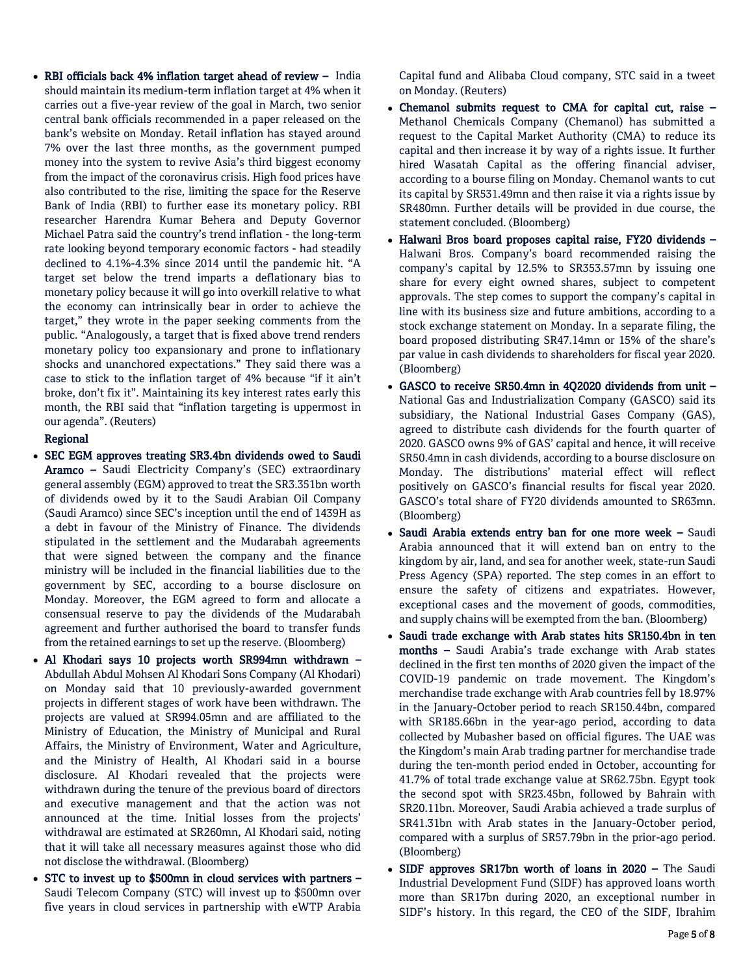RBI officials back 4% inflation target ahead of review – India should maintain its medium-term inflation target at 4% when it carries out a five-year review of the goal in March, two senior central bank officials recommended in a paper released on the bank's website on Monday. Retail inflation has stayed around 7% over the last three months, as the government pumped money into the system to revive Asia's third biggest economy from the impact of the coronavirus crisis. High food prices have also contributed to the rise, limiting the space for the Reserve Bank of India (RBI) to further ease its monetary policy. RBI researcher Harendra Kumar Behera and Deputy Governor Michael Patra said the country's trend inflation - the long-term rate looking beyond temporary economic factors - had steadily declined to 4.1%-4.3% since 2014 until the pandemic hit. "A target set below the trend imparts a deflationary bias to monetary policy because it will go into overkill relative to what the economy can intrinsically bear in order to achieve the target," they wrote in the paper seeking comments from the public. "Analogously, a target that is fixed above trend renders monetary policy too expansionary and prone to inflationary shocks and unanchored expectations." They said there was a case to stick to the inflation target of 4% because "if it ain't broke, don't fix it". Maintaining its key interest rates early this month, the RBI said that "inflation targeting is uppermost in our agenda". (Reuters)

### Regional

- SEC EGM approves treating SR3.4bn dividends owed to Saudi Aramco – Saudi Electricity Company's (SEC) extraordinary general assembly (EGM) approved to treat the SR3.351bn worth of dividends owed by it to the Saudi Arabian Oil Company (Saudi Aramco) since SEC's inception until the end of 1439H as a debt in favour of the Ministry of Finance. The dividends stipulated in the settlement and the Mudarabah agreements that were signed between the company and the finance ministry will be included in the financial liabilities due to the government by SEC, according to a bourse disclosure on Monday. Moreover, the EGM agreed to form and allocate a consensual reserve to pay the dividends of the Mudarabah agreement and further authorised the board to transfer funds from the retained earnings to set up the reserve. (Bloomberg)
- Al Khodari says 10 projects worth SR994mn withdrawn Abdullah Abdul Mohsen Al Khodari Sons Company (Al Khodari) on Monday said that 10 previously-awarded government projects in different stages of work have been withdrawn. The projects are valued at SR994.05mn and are affiliated to the Ministry of Education, the Ministry of Municipal and Rural Affairs, the Ministry of Environment, Water and Agriculture, and the Ministry of Health, Al Khodari said in a bourse disclosure. Al Khodari revealed that the projects were withdrawn during the tenure of the previous board of directors and executive management and that the action was not announced at the time. Initial losses from the projects' withdrawal are estimated at SR260mn, Al Khodari said, noting that it will take all necessary measures against those who did not disclose the withdrawal. (Bloomberg)
- STC to invest up to \$500mn in cloud services with partners Saudi Telecom Company (STC) will invest up to \$500mn over five years in cloud services in partnership with eWTP Arabia

Capital fund and Alibaba Cloud company, STC said in a tweet on Monday. (Reuters)

- Chemanol submits request to CMA for capital cut, raise Methanol Chemicals Company (Chemanol) has submitted a request to the Capital Market Authority (CMA) to reduce its capital and then increase it by way of a rights issue. It further hired Wasatah Capital as the offering financial adviser, according to a bourse filing on Monday. Chemanol wants to cut its capital by SR531.49mn and then raise it via a rights issue by SR480mn. Further details will be provided in due course, the statement concluded. (Bloomberg)
- Halwani Bros board proposes capital raise, FY20 dividends Halwani Bros. Company's board recommended raising the company's capital by 12.5% to SR353.57mn by issuing one share for every eight owned shares, subject to competent approvals. The step comes to support the company's capital in line with its business size and future ambitions, according to a stock exchange statement on Monday. In a separate filing, the board proposed distributing SR47.14mn or 15% of the share's par value in cash dividends to shareholders for fiscal year 2020. (Bloomberg)
- GASCO to receive SR50.4mn in 4Q2020 dividends from unit National Gas and Industrialization Company (GASCO) said its subsidiary, the National Industrial Gases Company (GAS), agreed to distribute cash dividends for the fourth quarter of 2020. GASCO owns 9% of GAS' capital and hence, it will receive SR50.4mn in cash dividends, according to a bourse disclosure on Monday. The distributions' material effect will reflect positively on GASCO's financial results for fiscal year 2020. GASCO's total share of FY20 dividends amounted to SR63mn. (Bloomberg)
- Saudi Arabia extends entry ban for one more week Saudi Arabia announced that it will extend ban on entry to the kingdom by air, land, and sea for another week, state-run Saudi Press Agency (SPA) reported. The step comes in an effort to ensure the safety of citizens and expatriates. However, exceptional cases and the movement of goods, commodities, and supply chains will be exempted from the ban. (Bloomberg)
- Saudi trade exchange with Arab states hits SR150.4bn in ten months – Saudi Arabia's trade exchange with Arab states declined in the first ten months of 2020 given the impact of the COVID-19 pandemic on trade movement. The Kingdom's merchandise trade exchange with Arab countries fell by 18.97% in the January-October period to reach SR150.44bn, compared with SR185.66bn in the year-ago period, according to data collected by Mubasher based on official figures. The UAE was the Kingdom's main Arab trading partner for merchandise trade during the ten-month period ended in October, accounting for 41.7% of total trade exchange value at SR62.75bn. Egypt took the second spot with SR23.45bn, followed by Bahrain with SR20.11bn. Moreover, Saudi Arabia achieved a trade surplus of SR41.31bn with Arab states in the January-October period, compared with a surplus of SR57.79bn in the prior-ago period. (Bloomberg)
- SIDF approves SR17bn worth of loans in 2020 The Saudi Industrial Development Fund (SIDF) has approved loans worth more than SR17bn during 2020, an exceptional number in SIDF's history. In this regard, the CEO of the SIDF, Ibrahim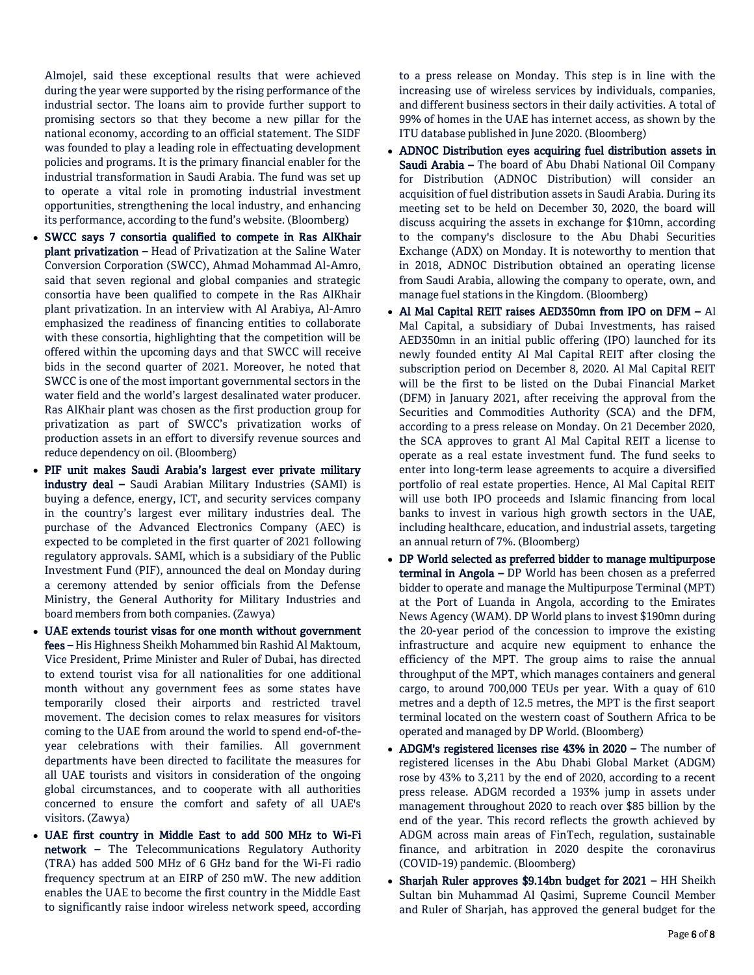Almojel, said these exceptional results that were achieved during the year were supported by the rising performance of the industrial sector. The loans aim to provide further support to promising sectors so that they become a new pillar for the national economy, according to an official statement. The SIDF was founded to play a leading role in effectuating development policies and programs. It is the primary financial enabler for the industrial transformation in Saudi Arabia. The fund was set up to operate a vital role in promoting industrial investment opportunities, strengthening the local industry, and enhancing its performance, according to the fund's website. (Bloomberg)

- SWCC says 7 consortia qualified to compete in Ras AlKhair plant privatization – Head of Privatization at the Saline Water Conversion Corporation (SWCC), Ahmad Mohammad Al-Amro, said that seven regional and global companies and strategic consortia have been qualified to compete in the Ras AlKhair plant privatization. In an interview with Al Arabiya, Al-Amro emphasized the readiness of financing entities to collaborate with these consortia, highlighting that the competition will be offered within the upcoming days and that SWCC will receive bids in the second quarter of 2021. Moreover, he noted that SWCC is one of the most important governmental sectors in the water field and the world's largest desalinated water producer. Ras AlKhair plant was chosen as the first production group for privatization as part of SWCC's privatization works of production assets in an effort to diversify revenue sources and reduce dependency on oil. (Bloomberg)
- PIF unit makes Saudi Arabia's largest ever private military industry deal – Saudi Arabian Military Industries (SAMI) is buying a defence, energy, ICT, and security services company in the country's largest ever military industries deal. The purchase of the Advanced Electronics Company (AEC) is expected to be completed in the first quarter of 2021 following regulatory approvals. SAMI, which is a subsidiary of the Public Investment Fund (PIF), announced the deal on Monday during a ceremony attended by senior officials from the Defense Ministry, the General Authority for Military Industries and board members from both companies. (Zawya)
- UAE extends tourist visas for one month without government fees – His Highness Sheikh Mohammed bin Rashid Al Maktoum, Vice President, Prime Minister and Ruler of Dubai, has directed to extend tourist visa for all nationalities for one additional month without any government fees as some states have temporarily closed their airports and restricted travel movement. The decision comes to relax measures for visitors coming to the UAE from around the world to spend end-of-theyear celebrations with their families. All government departments have been directed to facilitate the measures for all UAE tourists and visitors in consideration of the ongoing global circumstances, and to cooperate with all authorities concerned to ensure the comfort and safety of all UAE's visitors. (Zawya)
- UAE first country in Middle East to add 500 MHz to Wi-Fi network – The Telecommunications Regulatory Authority (TRA) has added 500 MHz of 6 GHz band for the Wi-Fi radio frequency spectrum at an EIRP of 250 mW. The new addition enables the UAE to become the first country in the Middle East to significantly raise indoor wireless network speed, according

to a press release on Monday. This step is in line with the increasing use of wireless services by individuals, companies, and different business sectors in their daily activities. A total of 99% of homes in the UAE has internet access, as shown by the ITU database published in June 2020. (Bloomberg)

- ADNOC Distribution eyes acquiring fuel distribution assets in Saudi Arabia – The board of Abu Dhabi National Oil Company for Distribution (ADNOC Distribution) will consider an acquisition of fuel distribution assets in Saudi Arabia. During its meeting set to be held on December 30, 2020, the board will discuss acquiring the assets in exchange for \$10mn, according to the company's disclosure to the Abu Dhabi Securities Exchange (ADX) on Monday. It is noteworthy to mention that in 2018, ADNOC Distribution obtained an operating license from Saudi Arabia, allowing the company to operate, own, and manage fuel stations in the Kingdom. (Bloomberg)
- Al Mal Capital REIT raises AED350mn from IPO on DFM Al Mal Capital, a subsidiary of Dubai Investments, has raised AED350mn in an initial public offering (IPO) launched for its newly founded entity Al Mal Capital REIT after closing the subscription period on December 8, 2020. Al Mal Capital REIT will be the first to be listed on the Dubai Financial Market (DFM) in January 2021, after receiving the approval from the Securities and Commodities Authority (SCA) and the DFM, according to a press release on Monday. On 21 December 2020, the SCA approves to grant Al Mal Capital REIT a license to operate as a real estate investment fund. The fund seeks to enter into long-term lease agreements to acquire a diversified portfolio of real estate properties. Hence, Al Mal Capital REIT will use both IPO proceeds and Islamic financing from local banks to invest in various high growth sectors in the UAE, including healthcare, education, and industrial assets, targeting an annual return of 7%. (Bloomberg)
- DP World selected as preferred bidder to manage multipurpose terminal in Angola - DP World has been chosen as a preferred bidder to operate and manage the Multipurpose Terminal (MPT) at the Port of Luanda in Angola, according to the Emirates News Agency (WAM). DP World plans to invest \$190mn during the 20-year period of the concession to improve the existing infrastructure and acquire new equipment to enhance the efficiency of the MPT. The group aims to raise the annual throughput of the MPT, which manages containers and general cargo, to around 700,000 TEUs per year. With a quay of 610 metres and a depth of 12.5 metres, the MPT is the first seaport terminal located on the western coast of Southern Africa to be operated and managed by DP World. (Bloomberg)
- ADGM's registered licenses rise 43% in 2020 The number of registered licenses in the Abu Dhabi Global Market (ADGM) rose by 43% to 3,211 by the end of 2020, according to a recent press release. ADGM recorded a 193% jump in assets under management throughout 2020 to reach over \$85 billion by the end of the year. This record reflects the growth achieved by ADGM across main areas of FinTech, regulation, sustainable finance, and arbitration in 2020 despite the coronavirus (COVID-19) pandemic. (Bloomberg)
- Sharjah Ruler approves \$9.14bn budget for 2021 HH Sheikh Sultan bin Muhammad Al Qasimi, Supreme Council Member and Ruler of Sharjah, has approved the general budget for the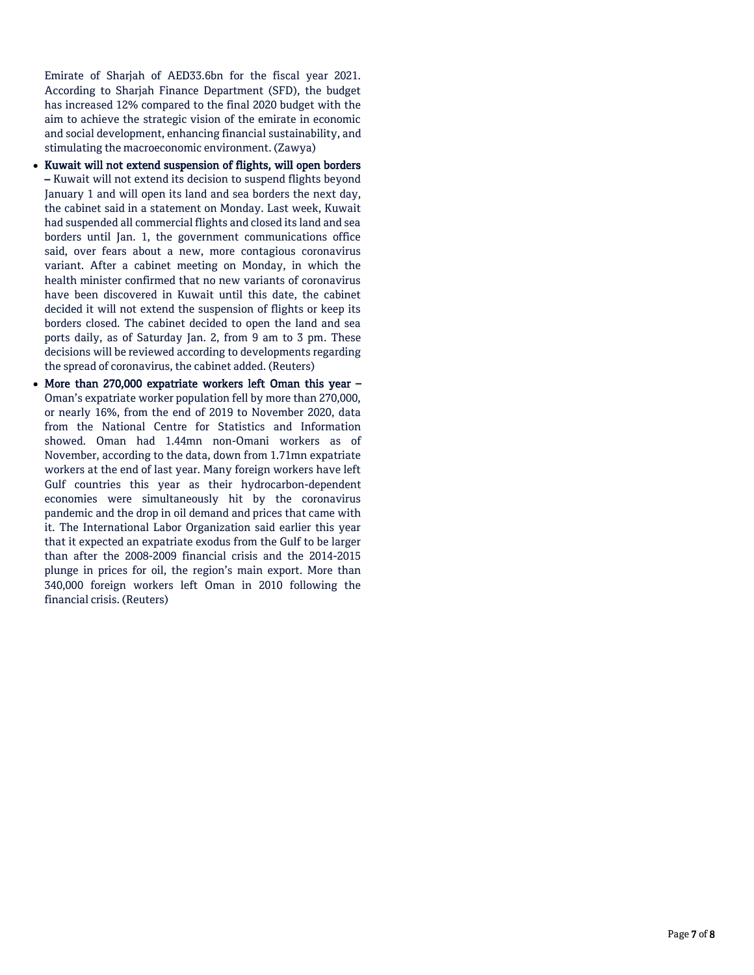Emirate of Sharjah of AED33.6bn for the fiscal year 2021. According to Sharjah Finance Department (SFD), the budget has increased 12% compared to the final 2020 budget with the aim to achieve the strategic vision of the emirate in economic and social development, enhancing financial sustainability, and stimulating the macroeconomic environment. (Zawya)

- Kuwait will not extend suspension of flights, will open borders – Kuwait will not extend its decision to suspend flights beyond January 1 and will open its land and sea borders the next day, the cabinet said in a statement on Monday. Last week, Kuwait had suspended all commercial flights and closed its land and sea borders until Jan. 1, the government communications office said, over fears about a new, more contagious coronavirus variant. After a cabinet meeting on Monday, in which the health minister confirmed that no new variants of coronavirus have been discovered in Kuwait until this date, the cabinet decided it will not extend the suspension of flights or keep its borders closed. The cabinet decided to open the land and sea ports daily, as of Saturday Jan. 2, from 9 am to 3 pm. These decisions will be reviewed according to developments regarding the spread of coronavirus, the cabinet added. (Reuters)
- More than 270,000 expatriate workers left Oman this year Oman's expatriate worker population fell by more than 270,000, or nearly 16%, from the end of 2019 to November 2020, data from the National Centre for Statistics and Information showed. Oman had 1.44mn non-Omani workers as of November, according to the data, down from 1.71mn expatriate workers at the end of last year. Many foreign workers have left Gulf countries this year as their hydrocarbon-dependent economies were simultaneously hit by the coronavirus pandemic and the drop in oil demand and prices that came with it. The International Labor Organization said earlier this year that it expected an expatriate exodus from the Gulf to be larger than after the 2008-2009 financial crisis and the 2014-2015 plunge in prices for oil, the region's main export. More than 340,000 foreign workers left Oman in 2010 following the financial crisis. (Reuters)